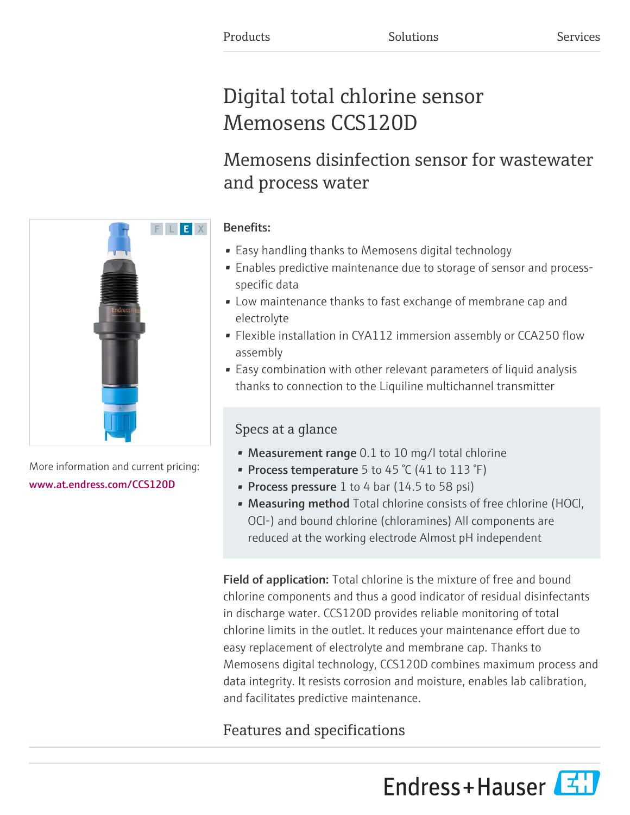# Digital total chlorine sensor Memosens CCS120D

# Memosens disinfection sensor for wastewater and process water

### Benefits:

- Easy handling thanks to Memosens digital technology
- Enables predictive maintenance due to storage of sensor and processspecific data
- Low maintenance thanks to fast exchange of membrane cap and electrolyte
- Flexible installation in CYA112 immersion assembly or CCA250 flow assembly
- Easy combination with other relevant parameters of liquid analysis thanks to connection to the Liquiline multichannel transmitter

### Specs at a glance

- Measurement range 0.1 to 10 mg/l total chlorine
- Process temperature 5 to 45 °C (41 to 113 °F)
- Process pressure 1 to 4 bar (14.5 to 58 psi)
- Measuring method Total chlorine consists of free chlorine (HOCl, OCl-) and bound chlorine (chloramines) All components are reduced at the working electrode Almost pH independent

Field of application: Total chlorine is the mixture of free and bound chlorine components and thus a good indicator of residual disinfectants in discharge water. CCS120D provides reliable monitoring of total chlorine limits in the outlet. It reduces your maintenance effort due to easy replacement of electrolyte and membrane cap. Thanks to Memosens digital technology, CCS120D combines maximum process and data integrity. It resists corrosion and moisture, enables lab calibration, and facilitates predictive maintenance.

## Features and specifications





More information and current pricing: [www.at.endress.com/CCS120D](https://www.at.endress.com/CCS120D)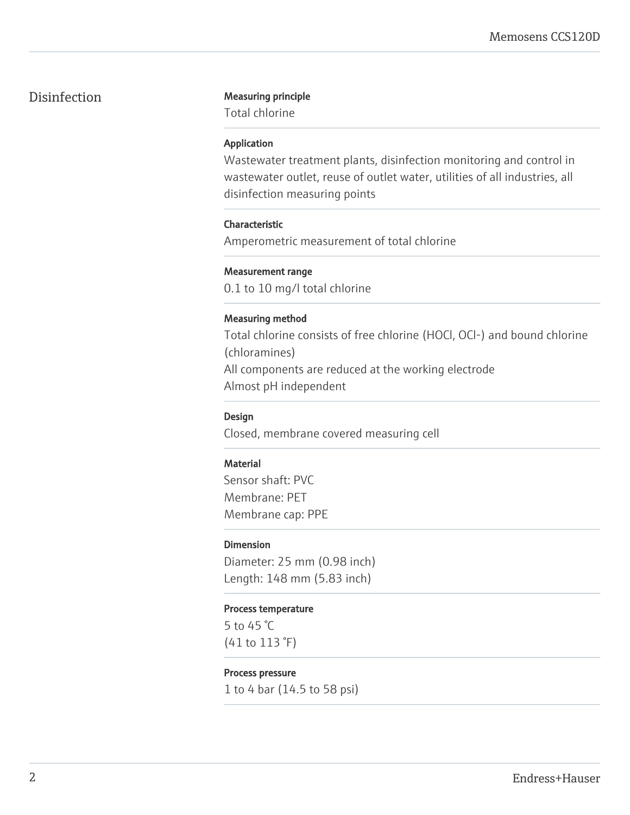#### Disinfection Measuring principle

Total chlorine

#### Application

Wastewater treatment plants, disinfection monitoring and control in wastewater outlet, reuse of outlet water, utilities of all industries, all disinfection measuring points

#### Characteristic

Amperometric measurement of total chlorine

#### Measurement range

0.1 to 10 mg/l total chlorine

#### Measuring method

Total chlorine consists of free chlorine (HOCl, OCl-) and bound chlorine (chloramines) All components are reduced at the working electrode Almost pH independent

#### Design

Closed, membrane covered measuring cell

#### **Material**

Sensor shaft: PVC Membrane: PET Membrane cap: PPE

#### Dimension

Diameter: 25 mm (0.98 inch) Length: 148 mm (5.83 inch)

#### Process temperature

5 to 45 °C (41 to 113 °F)

#### Process pressure

1 to 4 bar (14.5 to 58 psi)